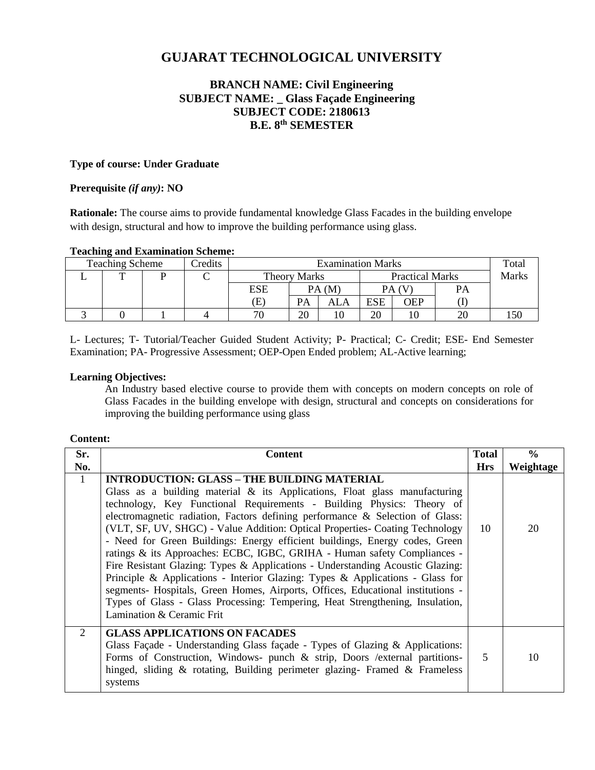# **GUJARAT TECHNOLOGICAL UNIVERSITY**

# **BRANCH NAME: Civil Engineering SUBJECT NAME: \_ Glass Façade Engineering SUBJECT CODE: 2180613 B.E. 8 th SEMESTER**

### **Type of course: Under Graduate**

### **Prerequisite** *(if any)***: NO**

**Rationale:** The course aims to provide fundamental knowledge Glass Facades in the building envelope with design, structural and how to improve the building performance using glass.

### **Teaching and Examination Scheme:**

| <b>Teaching Scheme</b><br>Credits |  |  | <b>Examination Marks</b> |            |                     |     |                        | Total |           |       |
|-----------------------------------|--|--|--------------------------|------------|---------------------|-----|------------------------|-------|-----------|-------|
|                                   |  |  |                          |            | <b>Theory Marks</b> |     | <b>Practical Marks</b> |       |           | Marks |
|                                   |  |  |                          | <b>ESE</b> | PA(M)               |     | PA (V                  |       | <b>PA</b> |       |
|                                   |  |  |                          | Œ.         | PA                  | ALA | <b>ESE</b>             | OEP   |           |       |
|                                   |  |  |                          | 70         | 20                  |     | 20                     | ΙU    |           |       |

L- Lectures; T- Tutorial/Teacher Guided Student Activity; P- Practical; C- Credit; ESE- End Semester Examination; PA- Progressive Assessment; OEP-Open Ended problem; AL-Active learning;

### **Learning Objectives:**

An Industry based elective course to provide them with concepts on modern concepts on role of Glass Facades in the building envelope with design, structural and concepts on considerations for improving the building performance using glass

#### **Content:**

| Sr.                         | <b>Content</b>                                                                                                                                                                                                                                                                                                                                                                                                                                                                                                                                                                                                                                                                                                                                                                                                                                                                                               | <b>Total</b> | $\frac{6}{9}$ |
|-----------------------------|--------------------------------------------------------------------------------------------------------------------------------------------------------------------------------------------------------------------------------------------------------------------------------------------------------------------------------------------------------------------------------------------------------------------------------------------------------------------------------------------------------------------------------------------------------------------------------------------------------------------------------------------------------------------------------------------------------------------------------------------------------------------------------------------------------------------------------------------------------------------------------------------------------------|--------------|---------------|
| No.                         |                                                                                                                                                                                                                                                                                                                                                                                                                                                                                                                                                                                                                                                                                                                                                                                                                                                                                                              | <b>Hrs</b>   | Weightage     |
| 1                           | <b>INTRODUCTION: GLASS – THE BUILDING MATERIAL</b><br>Glass as a building material $\&$ its Applications, Float glass manufacturing<br>technology, Key Functional Requirements - Building Physics: Theory of<br>electromagnetic radiation, Factors defining performance & Selection of Glass:<br>(VLT, SF, UV, SHGC) - Value Addition: Optical Properties- Coating Technology<br>- Need for Green Buildings: Energy efficient buildings, Energy codes, Green<br>ratings & its Approaches: ECBC, IGBC, GRIHA - Human safety Compliances -<br>Fire Resistant Glazing: Types & Applications - Understanding Acoustic Glazing:<br>Principle & Applications - Interior Glazing: Types & Applications - Glass for<br>segments- Hospitals, Green Homes, Airports, Offices, Educational institutions -<br>Types of Glass - Glass Processing: Tempering, Heat Strengthening, Insulation,<br>Lamination & Ceramic Frit | 10           | 20            |
| $\mathcal{D}_{\mathcal{L}}$ | <b>GLASS APPLICATIONS ON FACADES</b><br>Glass Façade - Understanding Glass façade - Types of Glazing & Applications:<br>Forms of Construction, Windows- punch $\&$ strip, Doors /external partitions-<br>hinged, sliding $\&$ rotating, Building perimeter glazing- Framed $\&$ Frameless<br>systems                                                                                                                                                                                                                                                                                                                                                                                                                                                                                                                                                                                                         | .5           | 10            |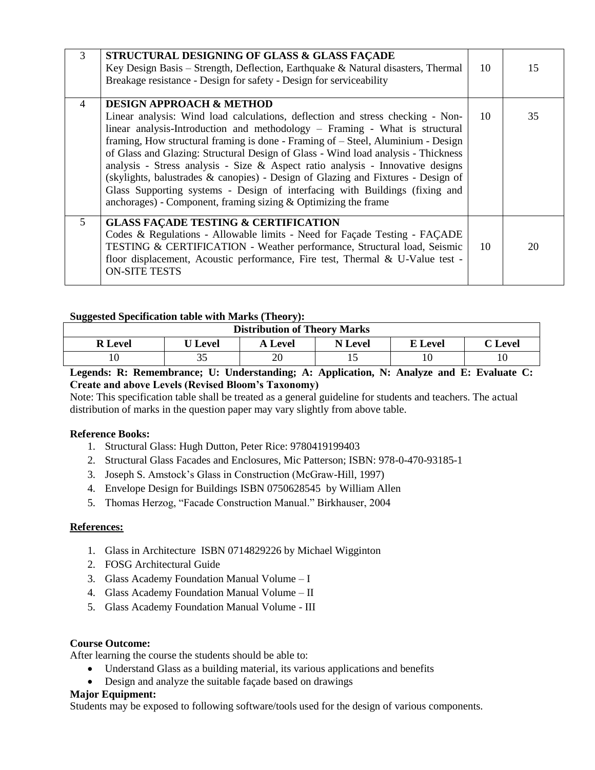| 3              | STRUCTURAL DESIGNING OF GLASS & GLASS FACADE<br>Key Design Basis – Strength, Deflection, Earthquake & Natural disasters, Thermal<br>Breakage resistance - Design for safety - Design for serviceability                                                                                                                                                                                                                                                                                                                                                                                                                                                                                                   | 10 | 15 |
|----------------|-----------------------------------------------------------------------------------------------------------------------------------------------------------------------------------------------------------------------------------------------------------------------------------------------------------------------------------------------------------------------------------------------------------------------------------------------------------------------------------------------------------------------------------------------------------------------------------------------------------------------------------------------------------------------------------------------------------|----|----|
| $\overline{4}$ | <b>DESIGN APPROACH &amp; METHOD</b><br>Linear analysis: Wind load calculations, deflection and stress checking - Non-<br>linear analysis-Introduction and methodology $-$ Framing - What is structural<br>framing, How structural framing is done - Framing of – Steel, Aluminium - Design<br>of Glass and Glazing: Structural Design of Glass - Wind load analysis - Thickness<br>analysis - Stress analysis - Size & Aspect ratio analysis - Innovative designs<br>(skylights, balustrades & canopies) - Design of Glazing and Fixtures - Design of<br>Glass Supporting systems - Design of interfacing with Buildings (fixing and<br>anchorages) - Component, framing sizing $\&$ Optimizing the frame | 10 | 35 |
| 5              | <b>GLASS FACADE TESTING &amp; CERTIFICATION</b><br>Codes & Regulations - Allowable limits - Need for Façade Testing - FAÇADE<br>TESTING & CERTIFICATION - Weather performance, Structural load, Seismic<br>floor displacement, Acoustic performance, Fire test, Thermal & U-Value test -<br><b>ON-SITE TESTS</b>                                                                                                                                                                                                                                                                                                                                                                                          | 10 | 20 |

# **Suggested Specification table with Marks (Theory):**

| <b>Distribution of Theory Marks</b> |                |                |                |         |                   |  |  |
|-------------------------------------|----------------|----------------|----------------|---------|-------------------|--|--|
| <b>R</b> Level                      | <b>U</b> Level | <b>A</b> Level | <b>N</b> Level | E Level | $\mathbb C$ Level |  |  |
|                                     | ັ              | 20             |                |         |                   |  |  |

### **Legends: R: Remembrance; U: Understanding; A: Application, N: Analyze and E: Evaluate C: Create and above Levels (Revised Bloom's Taxonomy)**

Note: This specification table shall be treated as a general guideline for students and teachers. The actual distribution of marks in the question paper may vary slightly from above table.

# **Reference Books:**

- 1. Structural Glass: Hugh Dutton, Peter Rice: 9780419199403
- 2. Structural Glass Facades and Enclosures, Mic Patterson; ISBN: 978-0-470-93185-1
- 3. Joseph S. Amstock's Glass in Construction (McGraw-Hill, 1997)
- 4. Envelope Design for Buildings ISBN 0750628545 by William Allen
- 5. Thomas Herzog, "Facade Construction Manual." Birkhauser, 2004

### **References:**

- 1. Glass in Architecture ISBN 0714829226 by Michael Wigginton
- 2. FOSG Architectural Guide
- 3. Glass Academy Foundation Manual Volume I
- 4. Glass Academy Foundation Manual Volume II
- 5. Glass Academy Foundation Manual Volume III

# **Course Outcome:**

After learning the course the students should be able to:

- Understand Glass as a building material, its various applications and benefits
- Design and analyze the suitable façade based on drawings

### **Major Equipment:**

Students may be exposed to following software/tools used for the design of various components.